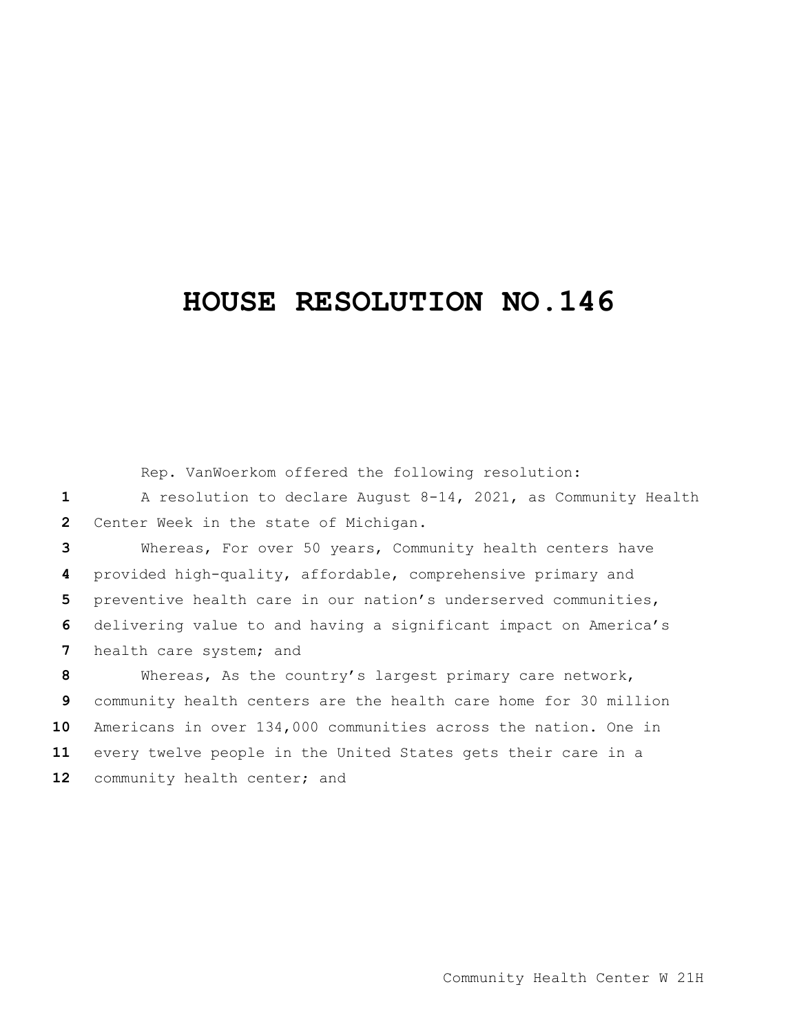## **HOUSE RESOLUTION NO.146**

|              | Rep. VanWoerkom offered the following resolution:                 |
|--------------|-------------------------------------------------------------------|
| $\mathbf{1}$ | A resolution to declare August $8-14$ , 2021, as Community Health |
| 2            | Center Week in the state of Michigan.                             |
| 3            | Whereas, For over 50 years, Community health centers have         |
| 4            | provided high-quality, affordable, comprehensive primary and      |
| 5            | preventive health care in our nation's underserved communities,   |
| 6            | delivering value to and having a significant impact on America's  |
| 7            | health care system; and                                           |
| 8            | Whereas, As the country's largest primary care network,           |
| 9            | community health centers are the health care home for 30 million  |
| 10           | Americans in over 134,000 communities across the nation. One in   |
| 11           | every twelve people in the United States gets their care in a     |
| 12           | community health center; and                                      |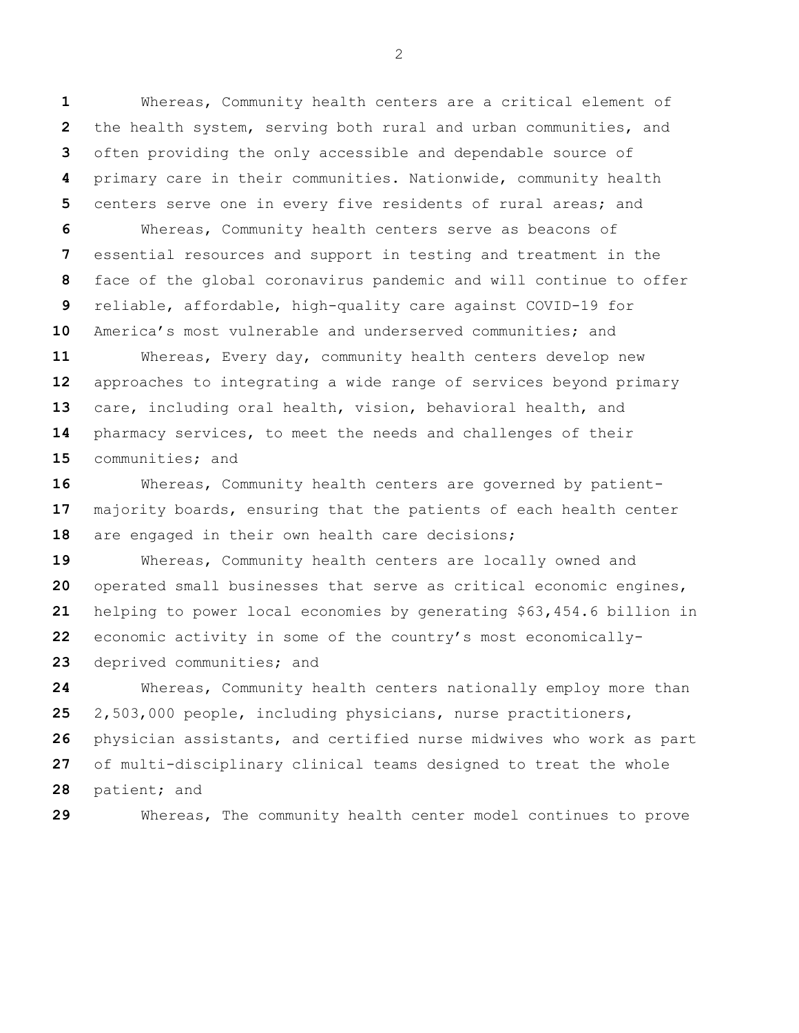Whereas, Community health centers are a critical element of the health system, serving both rural and urban communities, and often providing the only accessible and dependable source of primary care in their communities. Nationwide, community health centers serve one in every five residents of rural areas; and

 Whereas, Community health centers serve as beacons of essential resources and support in testing and treatment in the face of the global coronavirus pandemic and will continue to offer reliable, affordable, high-quality care against COVID-19 for America's most vulnerable and underserved communities; and

 Whereas, Every day, community health centers develop new approaches to integrating a wide range of services beyond primary care, including oral health, vision, behavioral health, and pharmacy services, to meet the needs and challenges of their communities; and

 Whereas, Community health centers are governed by patient- majority boards, ensuring that the patients of each health center are engaged in their own health care decisions;

 Whereas, Community health centers are locally owned and operated small businesses that serve as critical economic engines, helping to power local economies by generating \$63,454.6 billion in economic activity in some of the country's most economically-deprived communities; and

 Whereas, Community health centers nationally employ more than 2,503,000 people, including physicians, nurse practitioners, physician assistants, and certified nurse midwives who work as part of multi-disciplinary clinical teams designed to treat the whole patient; and

Whereas, The community health center model continues to prove